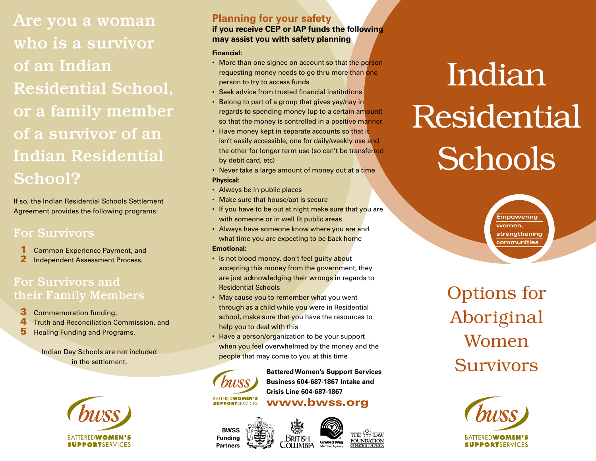Are you a woman who is a survivor of an Indian Residential School, or a family member of a survivor of an Indian Residential School?

If so, the Indian Residential Schools Settlement Agreement provides the following programs:

#### For Survivors

- 1 Common Experience Payment, and
- 2 Independent Assessment Process.

#### For Survivors and their Family Members

- **3** Commemoration funding.
- **4** Truth and Reconciliation Commission, and
- **5** Healing Funding and Programs.

Indian Day Schools are not included in the settlement.



#### **Planning for your safety if you receive CEP or IAP funds the following may assist you with safety planning**

#### **Financial:**

- More than one signee on account so that the person requesting money needs to go thru more than one person to try to access funds
- Seek advice from trusted financial institutions
- Belong to part of a group that gives yay/nay in regards to spending money (up to a certain amount) so that the money is controlled in a positive manner
- Have money kept in separate accounts so that it isn't easily accessible, one for daily/weekly use and the other for longer term use (so can't be transferred by debit card, etc)
- Never take a large amount of money out at a time **Physical:**
- Always be in public places
- Make sure that house/apt is secure
- If you have to be out at night make sure that you are with someone or in well lit public areas
- Always have someone know where you are and what time you are expecting to be back home

#### **Emotional:**

- Is not blood money, don't feel guilty about accepting this money from the government, they are just acknowledging their wrongs in regards to Residential Schools
- May cause you to remember what you went through as a child while you were in Residential school, make sure that you have the resources to help you to deal with this
- Have a person/organization to be your support when you feel overwhelmed by the money and the people that may come to you at this time



 **Battered Women's Support Services Business 604-687-1867 Intake and Crisis Line 604-687-1867**

BATTEREDWOMEN'S<br>SUPPORTSERVICES WWW.bwss.org

British

**OLUMBIA** 





 $\sqrt{1.4W}$ 



**Empowering women, strengthening communities**

Options for Aboriginal Women Survivors